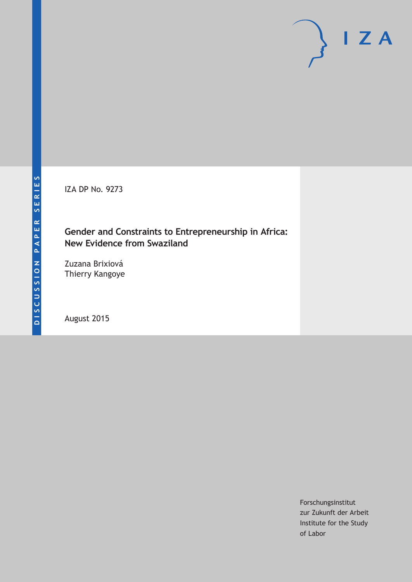IZA DP No. 9273

## **Gender and Constraints to Entrepreneurship in Africa: New Evidence from Swaziland**

Zuzana Brixiová Thierry Kangoye

August 2015

Forschungsinstitut zur Zukunft der Arbeit Institute for the Study of Labor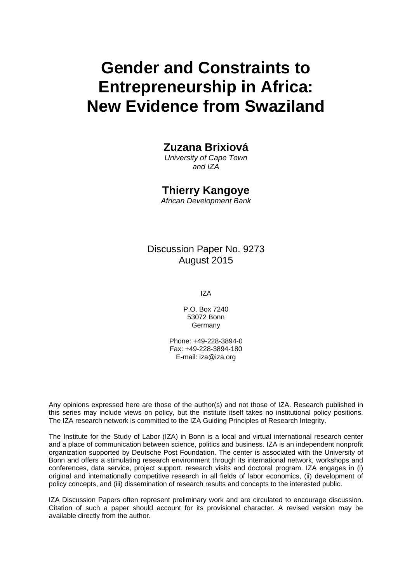# **Gender and Constraints to Entrepreneurship in Africa: New Evidence from Swaziland**

## **Zuzana Brixiová**

*University of Cape Town and IZA* 

## **Thierry Kangoye**

*African Development Bank* 

### Discussion Paper No. 9273 August 2015

IZA

P.O. Box 7240 53072 Bonn Germany

Phone: +49-228-3894-0 Fax: +49-228-3894-180 E-mail: iza@iza.org

Any opinions expressed here are those of the author(s) and not those of IZA. Research published in this series may include views on policy, but the institute itself takes no institutional policy positions. The IZA research network is committed to the IZA Guiding Principles of Research Integrity.

The Institute for the Study of Labor (IZA) in Bonn is a local and virtual international research center and a place of communication between science, politics and business. IZA is an independent nonprofit organization supported by Deutsche Post Foundation. The center is associated with the University of Bonn and offers a stimulating research environment through its international network, workshops and conferences, data service, project support, research visits and doctoral program. IZA engages in (i) original and internationally competitive research in all fields of labor economics, (ii) development of policy concepts, and (iii) dissemination of research results and concepts to the interested public.

IZA Discussion Papers often represent preliminary work and are circulated to encourage discussion. Citation of such a paper should account for its provisional character. A revised version may be available directly from the author.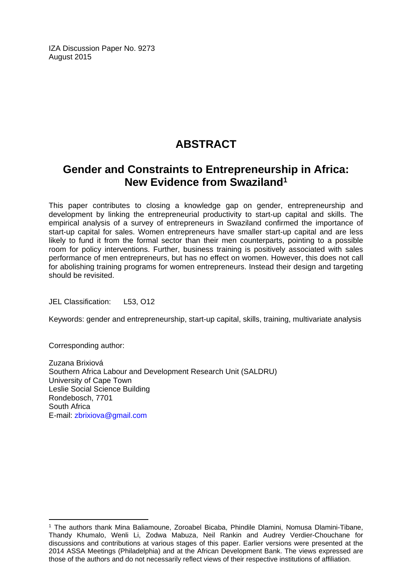IZA Discussion Paper No. 9273 August 2015

# **ABSTRACT**

# **Gender and Constraints to Entrepreneurship in Africa: New Evidence from Swaziland1**

This paper contributes to closing a knowledge gap on gender, entrepreneurship and development by linking the entrepreneurial productivity to start-up capital and skills. The empirical analysis of a survey of entrepreneurs in Swaziland confirmed the importance of start-up capital for sales. Women entrepreneurs have smaller start-up capital and are less likely to fund it from the formal sector than their men counterparts, pointing to a possible room for policy interventions. Further, business training is positively associated with sales performance of men entrepreneurs, but has no effect on women. However, this does not call for abolishing training programs for women entrepreneurs. Instead their design and targeting should be revisited.

JEL Classification: L53, O12

Keywords: gender and entrepreneurship, start-up capital, skills, training, multivariate analysis

Corresponding author:

 $\overline{a}$ 

Zuzana Brixiová Southern Africa Labour and Development Research Unit (SALDRU) University of Cape Town Leslie Social Science Building Rondebosch, 7701 South Africa E-mail: zbrixiova@gmail.com

<sup>1</sup> The authors thank Mina Baliamoune, Zoroabel Bicaba, Phindile Dlamini, Nomusa Dlamini-Tibane, Thandy Khumalo, Wenli Li, Zodwa Mabuza, Neil Rankin and Audrey Verdier-Chouchane for discussions and contributions at various stages of this paper. Earlier versions were presented at the 2014 ASSA Meetings (Philadelphia) and at the African Development Bank. The views expressed are those of the authors and do not necessarily reflect views of their respective institutions of affiliation.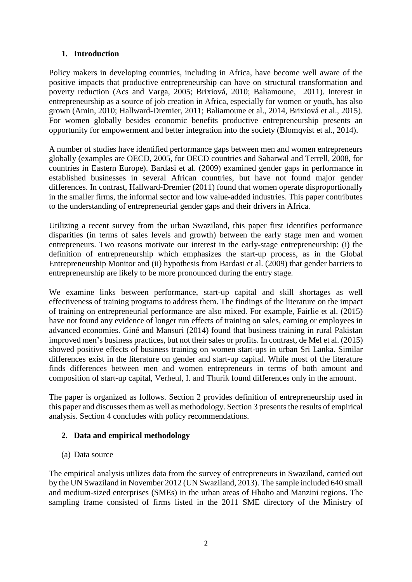#### **1. Introduction**

Policy makers in developing countries, including in Africa, have become well aware of the positive impacts that productive entrepreneurship can have on structural transformation and poverty reduction (Acs and Varga, 2005; Brixiová, 2010; Baliamoune, 2011). Interest in entrepreneurship as a source of job creation in Africa, especially for women or youth, has also grown (Amin, 2010; Hallward-Dremier, 2011; Baliamoune et al., 2014, Brixiová et al., 2015). For women globally besides economic benefits productive entrepreneurship presents an opportunity for empowerment and better integration into the society (Blomqvist et al., 2014).

A number of studies have identified performance gaps between men and women entrepreneurs globally (examples are OECD, 2005, for OECD countries and Sabarwal and Terrell, 2008, for countries in Eastern Europe). Bardasi et al. (2009) examined gender gaps in performance in established businesses in several African countries, but have not found major gender differences. In contrast, Hallward-Dremier (2011) found that women operate disproportionally in the smaller firms, the informal sector and low value-added industries. This paper contributes to the understanding of entrepreneurial gender gaps and their drivers in Africa.

Utilizing a recent survey from the urban Swaziland, this paper first identifies performance disparities (in terms of sales levels and growth) between the early stage men and women entrepreneurs. Two reasons motivate our interest in the early-stage entrepreneurship: (i) the definition of entrepreneurship which emphasizes the start-up process, as in the Global Entrepreneurship Monitor and (ii) hypothesis from Bardasi et al. (2009) that gender barriers to entrepreneurship are likely to be more pronounced during the entry stage.

We examine links between performance, start-up capital and skill shortages as well effectiveness of training programs to address them. The findings of the literature on the impact of training on entrepreneurial performance are also mixed. For example, Fairlie et al. (2015) have not found any evidence of longer run effects of training on sales, earning or employees in advanced economies. Giné and Mansuri (2014) found that business training in rural Pakistan improved men's business practices, but not their sales or profits. In contrast, de Mel et al. (2015) showed positive effects of business training on women start-ups in urban Sri Lanka. Similar differences exist in the literature on gender and start-up capital. While most of the literature finds differences between men and women entrepreneurs in terms of both amount and composition of start-up capital, Verheul, I. and Thurik found differences only in the amount.

The paper is organized as follows. Section 2 provides definition of entrepreneurship used in this paper and discusses them as well as methodology. Section 3 presents the results of empirical analysis. Section 4 concludes with policy recommendations.

#### **2. Data and empirical methodology**

(a) Data source

The empirical analysis utilizes data from the survey of entrepreneurs in Swaziland, carried out by the UN Swaziland in November 2012 (UN Swaziland, 2013). The sample included 640 small and medium-sized enterprises (SMEs) in the urban areas of Hhoho and Manzini regions. The sampling frame consisted of firms listed in the 2011 SME directory of the Ministry of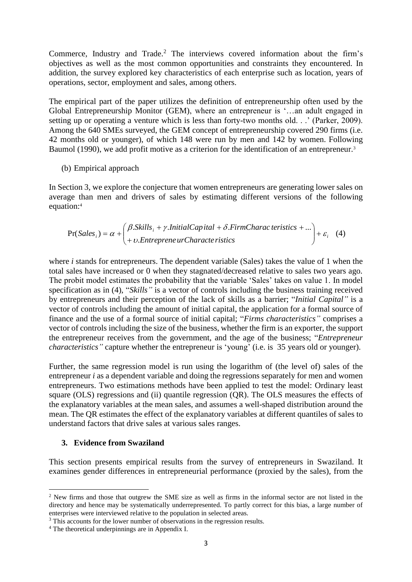Commerce, Industry and Trade.<sup>2</sup> The interviews covered information about the firm's objectives as well as the most common opportunities and constraints they encountered. In addition, the survey explored key characteristics of each enterprise such as location, years of operations, sector, employment and sales, among others.

The empirical part of the paper utilizes the definition of entrepreneurship often used by the Global Entrepreneurship Monitor (GEM), where an entrepreneur is '…an adult engaged in setting up or operating a venture which is less than forty-two months old. . .' (Parker, 2009). Among the 640 SMEs surveyed, the GEM concept of entrepreneurship covered 290 firms (i.e. 42 months old or younger), of which 148 were run by men and 142 by women. Following Baumol (1990), we add profit motive as a criterion for the identification of an entrepreneur.<sup>3</sup>

#### (b) Empirical approach

In Section 3, we explore the conjecture that women entrepreneurs are generating lower sales on average than men and drivers of sales by estimating different versions of the following equation:<sup>4</sup>

$$
Pr(Salesi) = \alpha + \begin{pmatrix} \beta.Skills_i + \gamma-InitalCapital + \delta.FirmCharacteristics + ... \\ + v.Entreprene urCharacteristics \end{pmatrix} + \varepsilon_i \quad (4)
$$

where *i* stands for entrepreneurs. The dependent variable (Sales) takes the value of 1 when the total sales have increased or 0 when they stagnated/decreased relative to sales two years ago. The probit model estimates the probability that the variable 'Sales' takes on value 1. In model specification as in (4), "*Skills"* is a vector of controls including the business training received by entrepreneurs and their perception of the lack of skills as a barrier; "*Initial Capital"* is a vector of controls including the amount of initial capital, the application for a formal source of finance and the use of a formal source of initial capital; "*Firms characteristics"* comprises a vector of controls including the size of the business, whether the firm is an exporter, the support the entrepreneur receives from the government, and the age of the business; "*Entrepreneur characteristics"* capture whether the entrepreneur is 'young' (i.e. is 35 years old or younger).

Further, the same regression model is run using the logarithm of (the level of) sales of the entrepreneur *i* as a dependent variable and doing the regressions separately for men and women entrepreneurs. Two estimations methods have been applied to test the model: Ordinary least square (OLS) regressions and (ii) quantile regression (QR). The OLS measures the effects of the explanatory variables at the mean sales, and assumes a well-shaped distribution around the mean. The QR estimates the effect of the explanatory variables at different quantiles of sales to understand factors that drive sales at various sales ranges.

#### **3. Evidence from Swaziland**

**.** 

This section presents empirical results from the survey of entrepreneurs in Swaziland. It examines gender differences in entrepreneurial performance (proxied by the sales), from the

<sup>&</sup>lt;sup>2</sup> New firms and those that outgrew the SME size as well as firms in the informal sector are not listed in the directory and hence may be systematically underrepresented. To partly correct for this bias, a large number of enterprises were interviewed relative to the population in selected areas.

<sup>&</sup>lt;sup>3</sup> This accounts for the lower number of observations in the regression results.

<sup>4</sup> The theoretical underpinnings are in Appendix I.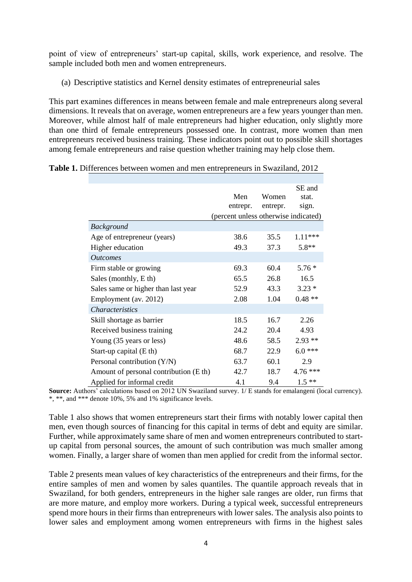point of view of entrepreneurs' start-up capital, skills, work experience, and resolve. The sample included both men and women entrepreneurs.

(a) Descriptive statistics and Kernel density estimates of entrepreneurial sales

This part examines differences in means between female and male entrepreneurs along several dimensions. It reveals that on average, women entrepreneurs are a few years younger than men. Moreover, while almost half of male entrepreneurs had higher education, only slightly more than one third of female entrepreneurs possessed one. In contrast, more women than men entrepreneurs received business training. These indicators point out to possible skill shortages among female entrepreneurs and raise question whether training may help close them.

|                                        | Men<br>entrepr.                      | Women<br>entrepr. | SE and<br>stat.<br>sign. |
|----------------------------------------|--------------------------------------|-------------------|--------------------------|
|                                        | (percent unless otherwise indicated) |                   |                          |
| <b>Background</b>                      |                                      |                   |                          |
| Age of entrepreneur (years)            | 38.6                                 | 35.5              | 1.11 ***                 |
| Higher education                       | 49.3                                 | 37.3              | $5.8**$                  |
| <i><u><b>Outcomes</b></u></i>          |                                      |                   |                          |
| Firm stable or growing                 | 69.3                                 | 60.4              | $5.76*$                  |
| Sales (monthly, E th)                  | 65.5                                 | 26.8              | 16.5                     |
| Sales same or higher than last year    | 52.9                                 | 43.3              | $3.23*$                  |
| Employment (av. 2012)                  | 2.08                                 | 1.04              | $0.48**$                 |
| <i>Characteristics</i>                 |                                      |                   |                          |
| Skill shortage as barrier              | 18.5                                 | 16.7              | 2.26                     |
| Received business training             | 24.2                                 | 20.4              | 4.93                     |
| Young (35 years or less)               | 48.6                                 | 58.5              | $2.93**$                 |
| Start-up capital $(Eth)$               | 68.7                                 | 22.9              | $6.0***$                 |
| Personal contribution $(Y/N)$          | 63.7                                 | 60.1              | 2.9                      |
| Amount of personal contribution (E th) | 42.7                                 | 18.7              | 4.76 ***                 |
| Applied for informal credit            | 4.1                                  | 9.4               | $1.5**$                  |

| Table 1. Differences between women and men entrepreneurs in Swaziland, 2012 |  |
|-----------------------------------------------------------------------------|--|
|-----------------------------------------------------------------------------|--|

**Source:** Authors' calculations based on 2012 UN Swaziland survey. 1/ E stands for emalangeni (local currency). \*, \*\*, and \*\*\* denote 10%, 5% and 1% significance levels.

Table 1 also shows that women entrepreneurs start their firms with notably lower capital then men, even though sources of financing for this capital in terms of debt and equity are similar. Further, while approximately same share of men and women entrepreneurs contributed to startup capital from personal sources, the amount of such contribution was much smaller among women. Finally, a larger share of women than men applied for credit from the informal sector.

Table 2 presents mean values of key characteristics of the entrepreneurs and their firms, for the entire samples of men and women by sales quantiles. The quantile approach reveals that in Swaziland, for both genders, entrepreneurs in the higher sale ranges are older, run firms that are more mature, and employ more workers. During a typical week, successful entrepreneurs spend more hours in their firms than entrepreneurs with lower sales. The analysis also points to lower sales and employment among women entrepreneurs with firms in the highest sales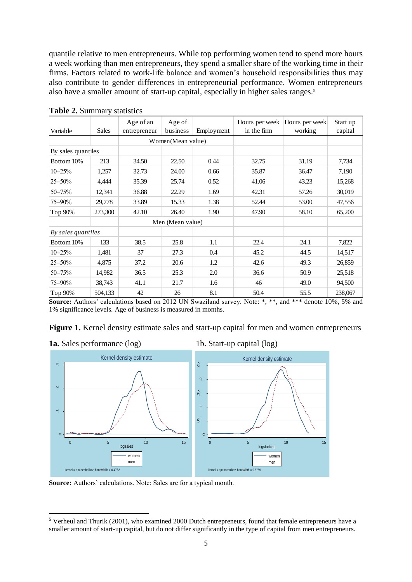quantile relative to men entrepreneurs. While top performing women tend to spend more hours a week working than men entrepreneurs, they spend a smaller share of the working time in their firms. Factors related to work-life balance and women's household responsibilities thus may also contribute to gender differences in entrepreneurial performance. Women entrepreneurs also have a smaller amount of start-up capital, especially in higher sales ranges.<sup>5</sup>

| Variable           | <b>Sales</b> | Age of an<br>entrepreneur | Age of<br>business | Employment | in the firm | Hours per week   Hours per week <br>working | Start up<br>capital |
|--------------------|--------------|---------------------------|--------------------|------------|-------------|---------------------------------------------|---------------------|
|                    |              |                           | Women(Mean value)  |            |             |                                             |                     |
| By sales quantiles |              |                           |                    |            |             |                                             |                     |
| Bottom 10%         | 213          | 34.50                     | 22.50              | 0.44       | 32.75       | 31.19                                       | 7,734               |
| $10 - 25%$         | 1,257        | 32.73                     | 24.00              | 0.66       | 35.87       | 36.47                                       | 7,190               |
| $25 - 50\%$        | 4,444        | 35.39                     | 25.74              | 0.52       | 41.06       | 43.23                                       | 15,268              |
| $50 - 75%$         | 12,341       | 36.88                     | 22.29              | 1.69       | 42.31       | 57.26                                       | 30,019              |
| 75–90%             | 29,778       | 33.89                     | 15.33              | 1.38       | 52.44       | 53.00                                       | 47,556              |
| Top 90%            | 273,300      | 42.10                     | 26.40              | 1.90       | 47.90       | 58.10                                       | 65,200              |
|                    |              | Men (Mean value)          |                    |            |             |                                             |                     |
| By sales quantiles |              |                           |                    |            |             |                                             |                     |
| Bottom 10%         | 133          | 38.5                      | 25.8               | 1.1        | 22.4        | 24.1                                        | 7,822               |
| $10 - 25%$         | 1,481        | 37                        | 27.3               | 0.4        | 45.2        | 44.5                                        | 14,517              |
| $25 - 50\%$        | 4,875        | 37.2                      | 20.6               | 1.2        | 42.6        | 49.3                                        | 26,859              |
| $50 - 75%$         | 14,982       | 36.5                      | 25.3               | 2.0        | 36.6        | 50.9                                        | 25,518              |
| 75–90%             | 38,743       | 41.1                      | 21.7               | 1.6        | 46          | 49.0                                        | 94,500              |
| Top 90%            | 504,133      | 42                        | 26                 | 8.1        | 50.4        | 55.5                                        | 238,067             |

#### **Table 2.** Summary statistics

**Source:** Authors' calculations based on 2012 UN Swaziland survey. Note: \*, \*\*, and \*\*\* denote 10%, 5% and 1% significance levels. Age of business is measured in months.

Figure 1. Kernel density estimate sales and start-up capital for men and women entrepreneurs





**Source:** Authors' calculations. Note: Sales are for a typical month.

**<sup>.</sup>**  $5$  Verheul and Thurik (2001), who examined 2000 Dutch entrepreneurs, found that female entrepreneurs have a smaller amount of start-up capital, but do not differ significantly in the type of capital from men entrepreneurs.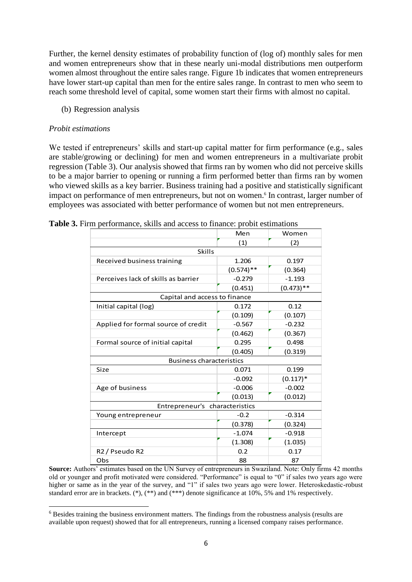Further, the kernel density estimates of probability function of (log of) monthly sales for men and women entrepreneurs show that in these nearly uni-modal distributions men outperform women almost throughout the entire sales range. Figure 1b indicates that women entrepreneurs have lower start-up capital than men for the entire sales range. In contrast to men who seem to reach some threshold level of capital, some women start their firms with almost no capital.

(b) Regression analysis

#### *Probit estimations*

 $\overline{\phantom{a}}$ 

We tested if entrepreneurs' skills and start-up capital matter for firm performance (e.g., sales are stable/growing or declining) for men and women entrepreneurs in a multivariate probit regression (Table 3). Our analysis showed that firms ran by women who did not perceive skills to be a major barrier to opening or running a firm performed better than firms ran by women who viewed skills as a key barrier. Business training had a positive and statistically significant impact on performance of men entrepreneurs, but not on women.<sup>6</sup> In contrast, larger number of employees was associated with better performance of women but not men entrepreneurs.

|                                        | Men          | Women        |
|----------------------------------------|--------------|--------------|
|                                        | (1)          | (2)          |
| Skills                                 |              |              |
| Received business training             | 1.206        | 0.197        |
|                                        | $(0.574)$ ** | (0.364)      |
| Perceives lack of skills as barrier    | $-0.279$     | $-1.193$     |
|                                        | (0.451)      | $(0.473)$ ** |
| Capital and access to finance          |              |              |
| Initial capital (log)                  | 0.172        | 0.12         |
|                                        | (0.109)      | (0.107)      |
| Applied for formal source of credit    | $-0.567$     | $-0.232$     |
|                                        | (0.462)      | (0.367)      |
| Formal source of initial capital       | 0.295        | 0.498        |
|                                        | (0.405)      | (0.319)      |
| <b>Business characteristics</b>        |              |              |
| Size                                   | 0.071        | 0.199        |
|                                        | $-0.092$     | $(0.117)*$   |
| Age of business                        | $-0.006$     | $-0.002$     |
|                                        | (0.013)      | (0.012)      |
| Entrepreneur's characteristics         |              |              |
| Young entrepreneur                     | $-0.2$       | $-0.314$     |
|                                        | (0.378)      | (0.324)      |
| Intercept                              | $-1.074$     | $-0.918$     |
|                                        | (1.308)      | (1.035)      |
| R <sub>2</sub> / Pseudo R <sub>2</sub> | 0.2          | 0.17         |
| Obs                                    | 88           | 87           |

| Table 3. Firm performance, skills and access to finance: probit estimations |  |  |  |
|-----------------------------------------------------------------------------|--|--|--|
|-----------------------------------------------------------------------------|--|--|--|

**Source:** Authors' estimates based on the UN Survey of entrepreneurs in Swaziland. Note: Only firms 42 months old or younger and profit motivated were considered. "Performance" is equal to "0" if sales two years ago were higher or same as in the year of the survey, and "1" if sales two years ago were lower. Heteroskedastic-robust standard error are in brackets.  $(*), (**)$  and  $(**)$  denote significance at 10%, 5% and 1% respectively.

<sup>6</sup> Besides training the business environment matters. The findings from the robustness analysis (results are available upon request) showed that for all entrepreneurs, running a licensed company raises performance.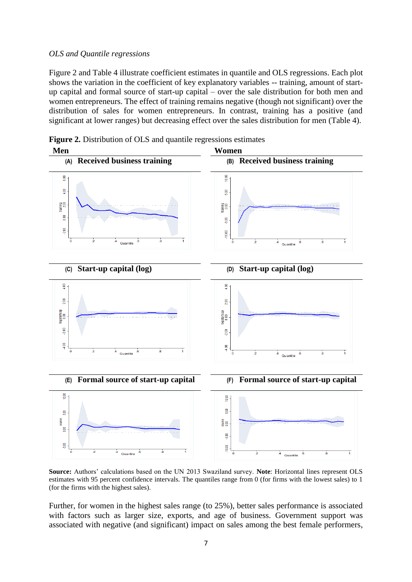#### *OLS and Quantile regressions*

Figure 2 and Table 4 illustrate coefficient estimates in quantile and OLS regressions. Each plot shows the variation in the coefficient of key explanatory variables -- training, amount of startup capital and formal source of start-up capital – over the sale distribution for both men and women entrepreneurs. The effect of training remains negative (though not significant) over the distribution of sales for women entrepreneurs. In contrast, training has a positive (and significant at lower ranges) but decreasing effect over the sales distribution for men (Table 4).



**Figure 2.** Distribution of OLS and quantile regressions estimates

**Source:** Authors' calculations based on the UN 2013 Swaziland survey. **Note**: Horizontal lines represent OLS estimates with 95 percent confidence intervals. The quantiles range from 0 (for firms with the lowest sales) to 1 (for the firms with the highest sales).

Further, for women in the highest sales range (to 25%), better sales performance is associated with factors such as larger size, exports, and age of business. Government support was associated with negative (and significant) impact on sales among the best female performers,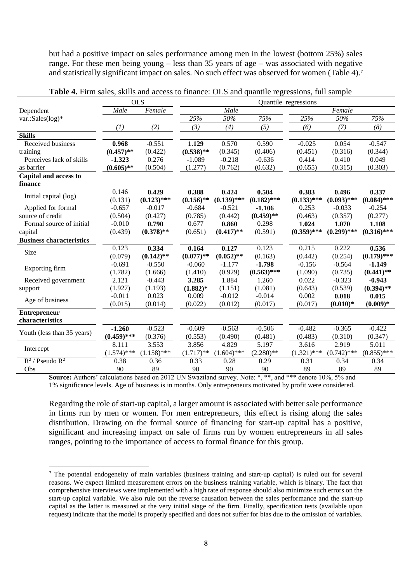but had a positive impact on sales performance among men in the lowest (bottom 25%) sales range. For these men being young – less than 35 years of age – was associated with negative and statistically significant impact on sales. No such effect was observed for women (Table 4).<sup>7</sup>

|                                 | <b>OLS</b>       |               | Quantile regressions |               |               |               |               |               |  |  |
|---------------------------------|------------------|---------------|----------------------|---------------|---------------|---------------|---------------|---------------|--|--|
| Dependent                       | Male             | Female        |                      | Male          |               |               | Female        |               |  |  |
| var.:Sales(log)*                |                  |               | $\overline{25\%}$    | 50%           | 75%           | 25%           | 50%           | 75%           |  |  |
|                                 | $\left(1\right)$ | (2)           | (3)                  | (4)           | (5)           | (6)           | (7)           | (8)           |  |  |
| <b>Skills</b>                   |                  |               |                      |               |               |               |               |               |  |  |
| Received business               | 0.968            | $-0.551$      | 1.129                | 0.570         | 0.590         | $-0.025$      | 0.054         | $-0.547$      |  |  |
| training                        | $(0.457)$ **     | (0.422)       | $(0.538)$ **         | (0.345)       | (0.406)       | (0.451)       | (0.316)       | (0.344)       |  |  |
| Perceives lack of skills        | $-1.323$         | 0.276         | $-1.089$             | $-0.218$      | $-0.636$      | 0.414         | 0.410         | 0.049         |  |  |
| as barrier                      | $(0.605)$ **     | (0.504)       | (1.277)              | (0.762)       | (0.632)       | (0.655)       | (0.315)       | (0.303)       |  |  |
| Capital and access to           |                  |               |                      |               |               |               |               |               |  |  |
| finance                         |                  |               |                      |               |               |               |               |               |  |  |
|                                 | 0.146            | 0.429         | 0.388                | 0.424         | 0.504         | 0.383         | 0.496         | 0.337         |  |  |
| Initial capital (log)           | (0.131)          | $(0.123)$ *** | $(0.156)$ **         | $(0.139)$ *** | $(0.182)$ *** | $(0.133)$ *** | $(0.093)$ *** | $(0.084)$ *** |  |  |
| Applied for formal              | $-0.657$         | $-0.017$      | $-0.684$             | $-0.521$      | $-1.106$      | 0.253         | $-0.033$      | $-0.254$      |  |  |
| source of credit                | (0.504)          | (0.427)       | (0.785)              | (0.442)       | $(0.459)$ **  | (0.463)       | (0.357)       | (0.277)       |  |  |
| Formal source of initial        | $-0.010$         | 0.790         | 0.677                | 0.860         | 0.298         | 1.024         | 1.070         | 1.108         |  |  |
| capital                         | (0.439)          | $(0.378)$ **  | (0.651)              | $(0.417)$ **  | (0.591)       | $(0.359)$ *** | $(0.299)$ *** | $(0.316)$ *** |  |  |
| <b>Business characteristics</b> |                  |               |                      |               |               |               |               |               |  |  |
|                                 | 0.123            | 0.334         | 0.164                | 0.127         | 0.123         | 0.215         | 0.222         | 0.536         |  |  |
| Size                            | (0.079)          | $(0.142)$ **  | $(0.077)$ **         | $(0.052)$ **  | (0.163)       | (0.442)       | (0.254)       | $(0.179)$ *** |  |  |
|                                 | $-0.691$         | $-0.550$      | $-0.060$             | $-1.177$      | $-1.798$      | $-0.156$      | $-0.564$      | $-1.149$      |  |  |
| Exporting firm                  | (1.782)          | (1.666)       | (1.410)              | (0.929)       | $(0.563)$ *** | (1.090)       | (0.735)       | $(0.441)$ **  |  |  |
| Received government             | 2.121            | $-0.443$      | 3.285                | 1.884         | 1.260         | 0.022         | $-0.323$      | $-0.943$      |  |  |
| support                         | (1.927)          | (1.193)       | $(1.882)*$           | (1.151)       | (1.081)       | (0.643)       | (0.539)       | $(0.394)$ **  |  |  |
|                                 | $-0.011$         | 0.023         | 0.009                | $-0.012$      | $-0.014$      | 0.002         | 0.018         | 0.015         |  |  |
| Age of business                 | (0.015)          | (0.014)       | (0.022)              | (0.012)       | (0.017)       | (0.017)       | $(0.010)*$    | $(0.009)*$    |  |  |
| <b>Entrepreneur</b>             |                  |               |                      |               |               |               |               |               |  |  |
| characteristics                 |                  |               |                      |               |               |               |               |               |  |  |
|                                 | $-1.260$         | $-0.523$      | $-0.609$             | $-0.563$      | $-0.506$      | $-0.482$      | $-0.365$      | $-0.422$      |  |  |
| Youth (less than 35 years)      | $(0.459)$ ***    | (0.376)       | (0.553)              | (0.490)       | (0.481)       | (0.483)       | (0.310)       | (0.347)       |  |  |
|                                 | 8.111            | 3.553         | 3.856                | 4.829         | 5.197         | 3.616         | 2.919         | 5.011         |  |  |
| Intercept                       | $(1.574)$ ***    | $(1.158)$ *** | $(1.717)$ **         | $(1.604)$ *** | $(2.280)$ **  | $(1.321)$ *** | $(0.742)$ *** | $(0.855)$ *** |  |  |
| $R^2$ / Pseudo $R^2$            | 0.38             | 0.36          | 0.33                 | 0.28          | 0.29          | 0.31          | 0.34          | 0.34          |  |  |
| Obs                             | 90               | 89            | 90                   | 90            | 90            | 89            | 89            | 89            |  |  |

|  |  |  |  |  |  |  |  | Table 4. Firm sales, skills and access to finance: OLS and quantile regressions, full sample |
|--|--|--|--|--|--|--|--|----------------------------------------------------------------------------------------------|
|--|--|--|--|--|--|--|--|----------------------------------------------------------------------------------------------|

**Source:** Authors' calculations based on 2012 UN Swaziland survey. Note: \*, \*\*, and \*\*\* denote 10%, 5% and 1% significance levels. Age of business is in months. Only entrepreneurs motivated by profit were considered.

Regarding the role of start-up capital, a larger amount is associated with better sale performance in firms run by men or women. For men entrepreneurs, this effect is rising along the sales distribution. Drawing on the formal source of financing for start-up capital has a positive, significant and increasing impact on sale of firms run by women entrepreneurs in all sales ranges, pointing to the importance of access to formal finance for this group.

1

<sup>7</sup> The potential endogeneity of main variables (business training and start-up capital) is ruled out for several reasons. We expect limited measurement errors on the business training variable, which is binary. The fact that comprehensive interviews were implemented with a high rate of response should also minimize such errors on the start-up capital variable. We also rule out the reverse causation between the sales performance and the start-up capital as the latter is measured at the very initial stage of the firm. Finally, specification tests (available upon request) indicate that the model is properly specified and does not suffer for bias due to the omission of variables.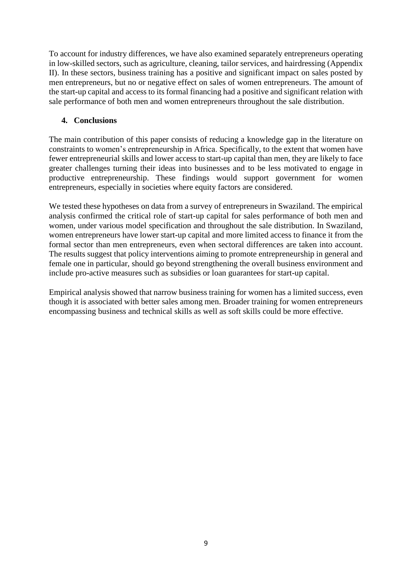To account for industry differences, we have also examined separately entrepreneurs operating in low-skilled sectors, such as agriculture, cleaning, tailor services, and hairdressing (Appendix II). In these sectors, business training has a positive and significant impact on sales posted by men entrepreneurs, but no or negative effect on sales of women entrepreneurs. The amount of the start-up capital and access to its formal financing had a positive and significant relation with sale performance of both men and women entrepreneurs throughout the sale distribution.

#### **4. Conclusions**

The main contribution of this paper consists of reducing a knowledge gap in the literature on constraints to women's entrepreneurship in Africa. Specifically, to the extent that women have fewer entrepreneurial skills and lower access to start-up capital than men, they are likely to face greater challenges turning their ideas into businesses and to be less motivated to engage in productive entrepreneurship. These findings would support government for women entrepreneurs, especially in societies where equity factors are considered.

We tested these hypotheses on data from a survey of entrepreneurs in Swaziland. The empirical analysis confirmed the critical role of start-up capital for sales performance of both men and women, under various model specification and throughout the sale distribution. In Swaziland, women entrepreneurs have lower start-up capital and more limited access to finance it from the formal sector than men entrepreneurs, even when sectoral differences are taken into account. The results suggest that policy interventions aiming to promote entrepreneurship in general and female one in particular, should go beyond strengthening the overall business environment and include pro-active measures such as subsidies or loan guarantees for start-up capital.

Empirical analysis showed that narrow business training for women has a limited success, even though it is associated with better sales among men. Broader training for women entrepreneurs encompassing business and technical skills as well as soft skills could be more effective.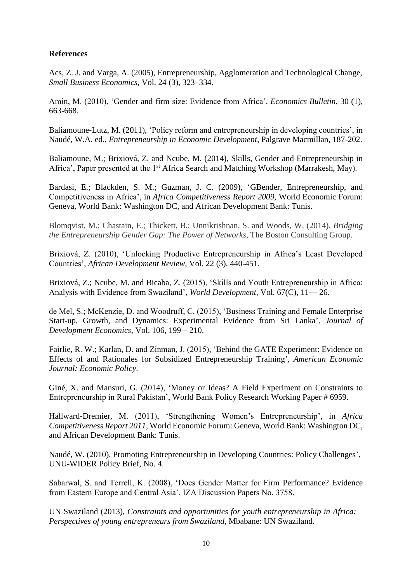#### **References**

Acs, Z. J. and Varga, A. (2005), Entrepreneurship, Agglomeration and Technological Change, *Small Business Economics*, Vol. 24 (3), 323–334.

Amin, M. (2010), 'Gender and firm size: Evidence from Africa', *Economics Bulletin*, 30 (1), 663-668.

Baliamoune-Lutz, M. (2011), 'Policy reform and entrepreneurship in developing countries', in Naudé, W.A. ed., *Entrepreneurship in Economic Development*, Palgrave Macmillan, 187-202.

Baliamoune, M.; Brixiová, Z. and Ncube, M. (2014), Skills, Gender and Entrepreneurship in Africa', Paper presented at the 1<sup>st</sup> Africa Search and Matching Workshop (Marrakesh, May).

Bardasi, E.; Blackden, S. M.; Guzman, J. C. (2009), 'GBender, Entrepreneurship, and Competitiveness in Africa', in *Africa Competitiveness Report 2009*, World Economic Forum: Geneva, World Bank: Washington DC, and African Development Bank: Tunis.

Blomqvist, M.; Chastain, E.; Thickett, B.; Unnikrishnan, S. and Woods, W. (2014), *Bridging the Entrepreneurship Gender Gap: The Power of Networks*, The Boston Consulting Group.

Brixiová, Z. (2010), 'Unlocking Productive Entrepreneurship in Africa's Least Developed Countries', *African Development Review*, Vol. 22 (3), 440-451.

Brixiová, Z.; Ncube, M. and Bicaba, Z. (2015), 'Skills and Youth Entrepreneurship in Africa: Analysis with Evidence from Swaziland', *World Development*, Vol. 67(C), 11— 26.

de Mel, S.; McKenzie, D. and Woodruff, C. (2015), 'Business Training and Female Enterprise Start-up, Growth, and Dynamics: Experimental Evidence from Sri Lanka', *Journal of Development Economics*, Vol. 106, 199 – 210.

Fairlie, R. W.; Karlan, D. and Zinman, J. (2015), 'Behind the GATE Experiment: Evidence on Effects of and Rationales for Subsidized Entrepreneurship Training', *American Economic Journal: Economic Policy*.

Giné, X. and Mansuri, G. (2014), 'Money or Ideas? A Field Experiment on Constraints to Entrepreneurship in Rural Pakistan', World Bank Policy Research Working Paper # 6959.

Hallward-Dremier, M. (2011), 'Strengthening Women's Entrepreneurship', in *Africa Competitiveness Report 2011*, World Economic Forum: Geneva, World Bank: Washington DC, and African Development Bank: Tunis.

Naudé, W. (2010), Promoting Entrepreneurship in Developing Countries: Policy Challenges', UNU-WIDER Policy Brief, No. 4.

Sabarwal, S. and Terrell, K. (2008), 'Does Gender Matter for Firm Performance? Evidence from Eastern Europe and Central Asia', IZA Discussion Papers No. 3758.

UN Swaziland (2013), *Constraints and opportunities for youth entrepreneurship in Africa: Perspectives of young entrepreneurs from Swaziland*, Mbabane: UN Swaziland.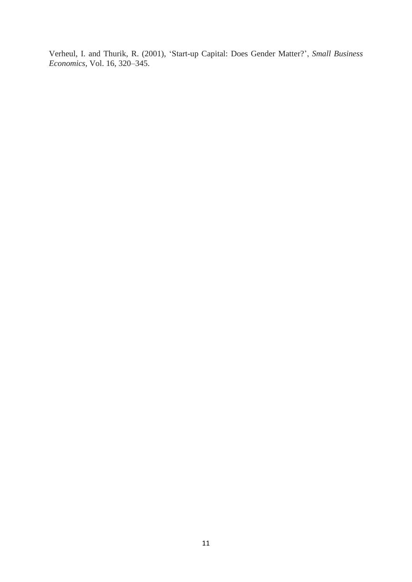Verheul, I. and Thurik, R. (2001), 'Start-up Capital: Does Gender Matter?', *Small Business Economics*, Vol. 16, 320–345.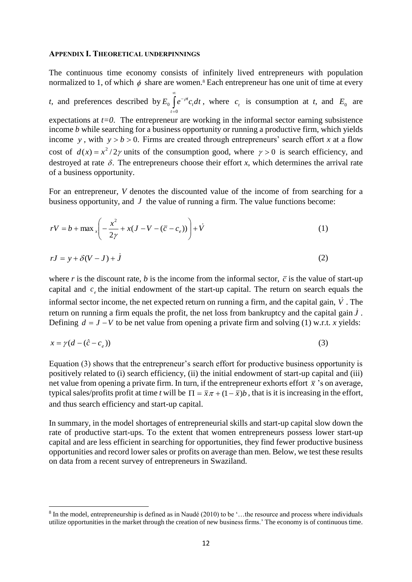#### **APPENDIX I. THEORETICAL UNDERPINNINGS**

The continuous time economy consists of infinitely lived entrepreneurs with population normalized to 1, of which  $\phi$  share are women.<sup>8</sup> Each entrepreneur has one unit of time at every

*t*, and preferences described by  $E_0 \int e^{-\rho t} c_t dt$ *t*  $\infty$  $\overline{a}$  $\overline{a}$ 0  $\int_{0}^{b} \int e^{-\rho t} c_{t} dt$ , where  $c_{t}$  is consumption at *t*, and  $E_{0}$  are expectations at  $t=0$ . The entrepreneur are working in the informal sector earning subsistence income *b* while searching for a business opportunity or running a productive firm, which yields income y, with  $y > b > 0$ . Firms are created through entrepreneurs' search effort x at a flow cost of  $d(x) = x^2/2\gamma$  units of the consumption good, where  $\gamma > 0$  is search efficiency, and destroyed at rate  $\delta$ . The entrepreneurs choose their effort *x*, which determines the arrival rate of a business opportunity.

For an entrepreneur, *V* denotes the discounted value of the income of from searching for a business opportunity, and  $J$  the value of running a firm. The value functions become:

$$
rV = b + \max_{x} \left( -\frac{x^2}{2\gamma} + x(J - V - (\overline{c} - c_e)) \right) + \dot{V}
$$
 (1)

$$
rJ = y + \delta(V - J) + \dot{J} \tag{2}
$$

where *r* is the discount rate, *b* is the income from the informal sector,  $\bar{c}$  is the value of start-up capital and  $c_e$  the initial endowment of the start-up capital. The return on search equals the informal sector income, the net expected return on running a firm, and the capital gain,  $\dot{V}$ . The return on running a firm equals the profit, the net loss from bankruptcy and the capital gain  $\dot{J}$ . Defining  $d = J - V$  to be net value from opening a private firm and solving (1) w.r.t. *x* yields:

$$
x = \gamma(d - (\hat{c} - c_e))
$$
\n<sup>(3)</sup>

Equation (3) shows that the entrepreneur's search effort for productive business opportunity is positively related to (i) search efficiency, (ii) the initial endowment of start-up capital and (iii) net value from opening a private firm. In turn, if the entrepreneur exhorts effort  $\bar{x}$  's on average, typical sales/profits profit at time *t* will be  $\Pi = \bar{x}\pi + (1 - \bar{x})b$ , that is it is increasing in the effort, and thus search efficiency and start-up capital.

In summary, in the model shortages of entrepreneurial skills and start-up capital slow down the rate of productive start-ups. To the extent that women entrepreneurs possess lower start-up capital and are less efficient in searching for opportunities, they find fewer productive business opportunities and record lower sales or profits on average than men. Below, we test these results on data from a recent survey of entrepreneurs in Swaziland.

 $\overline{\phantom{a}}$ 

<sup>&</sup>lt;sup>8</sup> In the model, entrepreneurship is defined as in Naudé (2010) to be '...the resource and process where individuals utilize opportunities in the market through the creation of new business firms.' The economy is of continuous time.